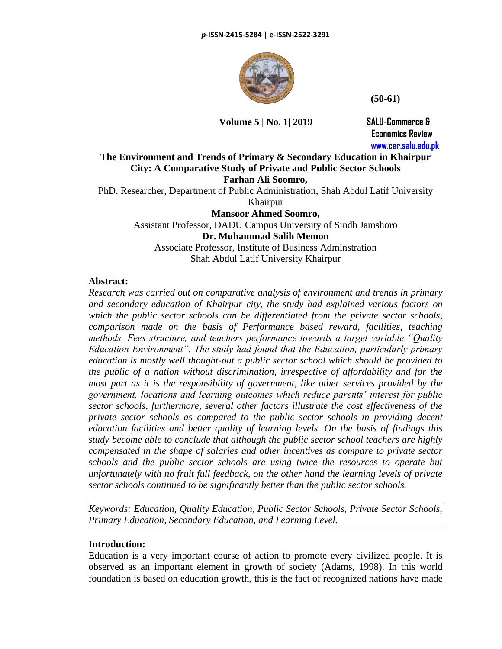

 **(50-61)**

**Volume 5 | No. 1| 2019 SALU-Commerce &**

 **Economics Review [www.cer.salu.edu.pk](http://www.cer.salu.edu.pk/)**

# **The Environment and Trends of Primary & Secondary Education in Khairpur City: A Comparative Study of Private and Public Sector Schools Farhan Ali Soomro,**

PhD. Researcher, Department of Public Administration, Shah Abdul Latif University Khairpur

**Mansoor Ahmed Soomro,** Assistant Professor, DADU Campus University of Sindh Jamshoro **Dr. Muhammad Salih Memon** Associate Professor, Institute of Business Adminstration Shah Abdul Latif University Khairpur

# **Abstract:**

*Research was carried out on comparative analysis of environment and trends in primary and secondary education of Khairpur city, the study had explained various factors on which the public sector schools can be differentiated from the private sector schools, comparison made on the basis of Performance based reward, facilities, teaching methods, Fees structure, and teachers performance towards a target variable "Quality Education Environment". The study had found that the Education, particularly primary education is mostly well thought-out a public sector school which should be provided to the public of a nation without discrimination, irrespective of affordability and for the most part as it is the responsibility of government, like other services provided by the government, locations and learning outcomes which reduce parents' interest for public sector schools, furthermore, several other factors illustrate the cost effectiveness of the private sector schools as compared to the public sector schools in providing decent education facilities and better quality of learning levels. On the basis of findings this study become able to conclude that although the public sector school teachers are highly compensated in the shape of salaries and other incentives as compare to private sector schools and the public sector schools are using twice the resources to operate but unfortunately with no fruit full feedback, on the other hand the learning levels of private sector schools continued to be significantly better than the public sector schools.*

*Keywords: Education, Quality Education, Public Sector Schools, Private Sector Schools, Primary Education, Secondary Education, and Learning Level.*

# **Introduction:**

Education is a very important course of action to promote every civilized people. It is observed as an important element in growth of society (Adams, 1998). In this world foundation is based on education growth, this is the fact of recognized nations have made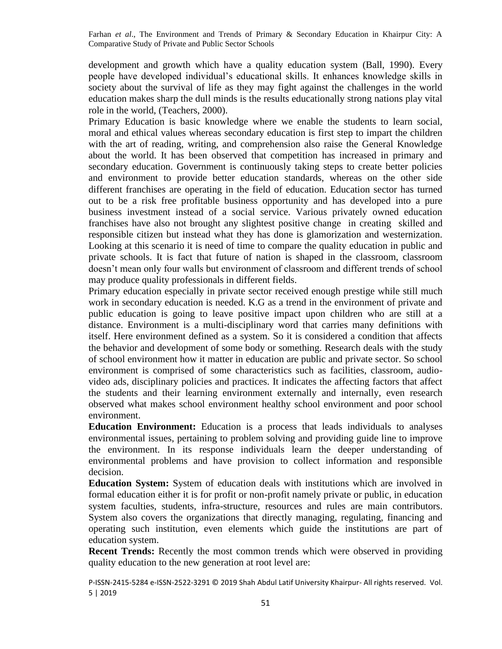development and growth which have a quality education system (Ball, 1990). Every people have developed individual's educational skills. It enhances knowledge skills in society about the survival of life as they may fight against the challenges in the world education makes sharp the dull minds is the results educationally strong nations play vital role in the world, (Teachers, 2000).

Primary Education is basic knowledge where we enable the students to learn social, moral and ethical values whereas secondary education is first step to impart the children with the art of reading, writing, and comprehension also raise the General Knowledge about the world. It has been observed that competition has increased in primary and secondary education. Government is continuously taking steps to create better policies and environment to provide better education standards, whereas on the other side different franchises are operating in the field of education. Education sector has turned out to be a risk free profitable business opportunity and has developed into a pure business investment instead of a social service. Various privately owned education franchises have also not brought any slightest positive change in creating skilled and responsible citizen but instead what they has done is glamorization and westernization. Looking at this scenario it is need of time to compare the quality education in public and private schools. It is fact that future of nation is shaped in the classroom, classroom doesn't mean only four walls but environment of classroom and different trends of school may produce quality professionals in different fields.

Primary education especially in private sector received enough prestige while still much work in secondary education is needed. K.G as a trend in the environment of private and public education is going to leave positive impact upon children who are still at a distance. Environment is a multi-disciplinary word that carries many definitions with itself. Here environment defined as a system. So it is considered a condition that affects the behavior and development of some body or something. Research deals with the study of school environment how it matter in education are public and private sector. So school environment is comprised of some characteristics such as facilities, classroom, audiovideo ads, disciplinary policies and practices. It indicates the affecting factors that affect the students and their learning environment externally and internally, even research observed what makes school environment healthy school environment and poor school environment.

**Education Environment:** Education is a process that leads individuals to analyses environmental issues, pertaining to problem solving and providing guide line to improve the environment. In its response individuals learn the deeper understanding of environmental problems and have provision to collect information and responsible decision.

**Education System:** System of education deals with institutions which are involved in formal education either it is for profit or non-profit namely private or public, in education system faculties, students, infra-structure, resources and rules are main contributors. System also covers the organizations that directly managing, regulating, financing and operating such institution, even elements which guide the institutions are part of education system.

**Recent Trends:** Recently the most common trends which were observed in providing quality education to the new generation at root level are: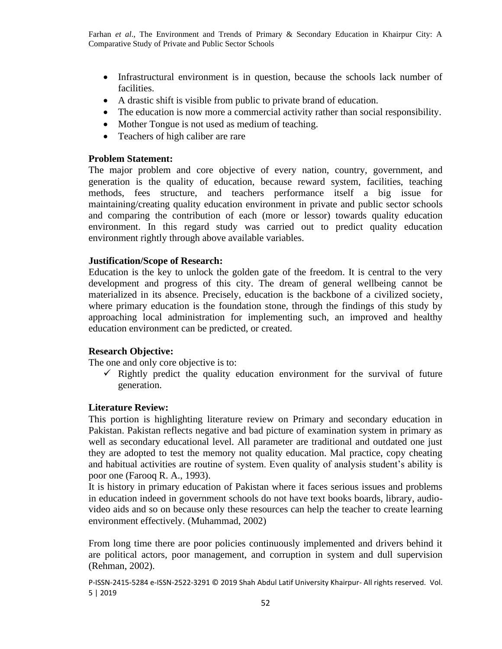- Infrastructural environment is in question, because the schools lack number of facilities.
- A drastic shift is visible from public to private brand of education.
- The education is now more a commercial activity rather than social responsibility.
- Mother Tongue is not used as medium of teaching.
- Teachers of high caliber are rare

### **Problem Statement:**

The major problem and core objective of every nation, country, government, and generation is the quality of education, because reward system, facilities, teaching methods, fees structure, and teachers performance itself a big issue for maintaining/creating quality education environment in private and public sector schools and comparing the contribution of each (more or lessor) towards quality education environment. In this regard study was carried out to predict quality education environment rightly through above available variables.

### **Justification/Scope of Research:**

Education is the key to unlock the golden gate of the freedom. It is central to the very development and progress of this city. The dream of general wellbeing cannot be materialized in its absence. Precisely, education is the backbone of a civilized society, where primary education is the foundation stone, through the findings of this study by approaching local administration for implementing such, an improved and healthy education environment can be predicted, or created.

# **Research Objective:**

The one and only core objective is to:

 $\checkmark$  Rightly predict the quality education environment for the survival of future generation.

# **Literature Review:**

This portion is highlighting literature review on Primary and secondary education in Pakistan. Pakistan reflects negative and bad picture of examination system in primary as well as secondary educational level. All parameter are traditional and outdated one just they are adopted to test the memory not quality education. Mal practice, copy cheating and habitual activities are routine of system. Even quality of analysis student's ability is poor one (Farooq R. A., 1993).

It is history in primary education of Pakistan where it faces serious issues and problems in education indeed in government schools do not have text books boards, library, audiovideo aids and so on because only these resources can help the teacher to create learning environment effectively. (Muhammad, 2002)

From long time there are poor policies continuously implemented and drivers behind it are political actors, poor management, and corruption in system and dull supervision (Rehman, 2002).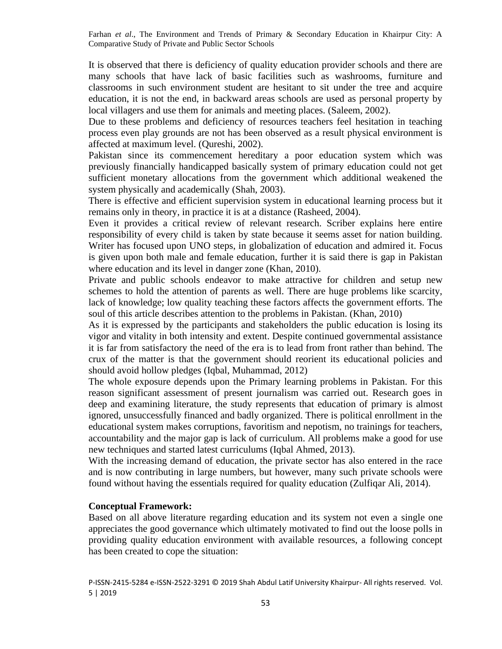It is observed that there is deficiency of quality education provider schools and there are many schools that have lack of basic facilities such as washrooms, furniture and classrooms in such environment student are hesitant to sit under the tree and acquire education, it is not the end, in backward areas schools are used as personal property by local villagers and use them for animals and meeting places. (Saleem, 2002).

Due to these problems and deficiency of resources teachers feel hesitation in teaching process even play grounds are not has been observed as a result physical environment is affected at maximum level. (Qureshi, 2002).

Pakistan since its commencement hereditary a poor education system which was previously financially handicapped basically system of primary education could not get sufficient monetary allocations from the government which additional weakened the system physically and academically (Shah, 2003).

There is effective and efficient supervision system in educational learning process but it remains only in theory, in practice it is at a distance (Rasheed, 2004).

Even it provides a critical review of relevant research. Scriber explains here entire responsibility of every child is taken by state because it seems asset for nation building. Writer has focused upon UNO steps, in globalization of education and admired it. Focus is given upon both male and female education, further it is said there is gap in Pakistan where education and its level in danger zone (Khan, 2010).

Private and public schools endeavor to make attractive for children and setup new schemes to hold the attention of parents as well. There are huge problems like scarcity, lack of knowledge; low quality teaching these factors affects the government efforts. The soul of this article describes attention to the problems in Pakistan. (Khan, 2010)

As it is expressed by the participants and stakeholders the public education is losing its vigor and vitality in both intensity and extent. Despite continued governmental assistance it is far from satisfactory the need of the era is to lead from front rather than behind. The crux of the matter is that the government should reorient its educational policies and should avoid hollow pledges (Iqbal, Muhammad, 2012)

The whole exposure depends upon the Primary learning problems in Pakistan. For this reason significant assessment of present journalism was carried out. Research goes in deep and examining literature, the study represents that education of primary is almost ignored, unsuccessfully financed and badly organized. There is political enrollment in the educational system makes corruptions, favoritism and nepotism, no trainings for teachers, accountability and the major gap is lack of curriculum. All problems make a good for use new techniques and started latest curriculums (Iqbal Ahmed, 2013).

With the increasing demand of education, the private sector has also entered in the race and is now contributing in large numbers, but however, many such private schools were found without having the essentials required for quality education (Zulfiqar Ali, 2014).

#### **Conceptual Framework:**

Based on all above literature regarding education and its system not even a single one appreciates the good governance which ultimately motivated to find out the loose polls in providing quality education environment with available resources, a following concept has been created to cope the situation: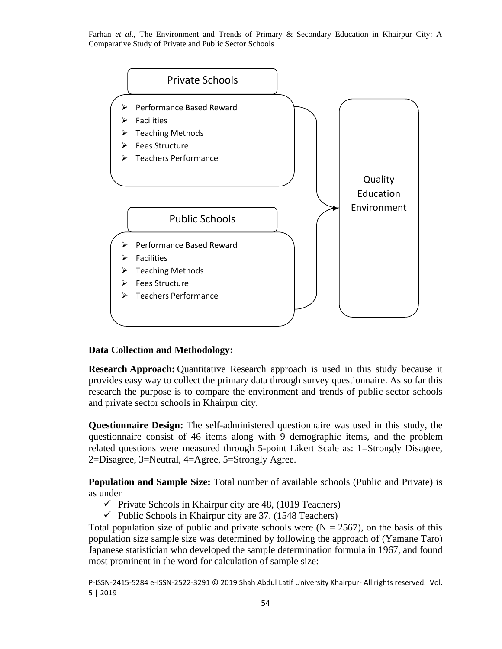

# **Data Collection and Methodology:**

**Research Approach:** Quantitative Research approach is used in this study because it provides easy way to collect the primary data through survey questionnaire. As so far this research the purpose is to compare the environment and trends of public sector schools and private sector schools in Khairpur city.

**Questionnaire Design:** The self-administered questionnaire was used in this study, the questionnaire consist of 46 items along with 9 demographic items, and the problem related questions were measured through 5-point Likert Scale as: 1=Strongly Disagree, 2=Disagree, 3=Neutral, 4=Agree, 5=Strongly Agree.

**Population and Sample Size:** Total number of available schools (Public and Private) is as under

- $\checkmark$  Private Schools in Khairpur city are 48, (1019 Teachers)
- $\checkmark$  Public Schools in Khairpur city are 37, (1548 Teachers)

Total population size of public and private schools were  $(N = 2567)$ , on the basis of this population size sample size was determined by following the approach of (Yamane Taro) Japanese statistician who developed the sample determination formula in 1967, and found most prominent in the word for calculation of sample size: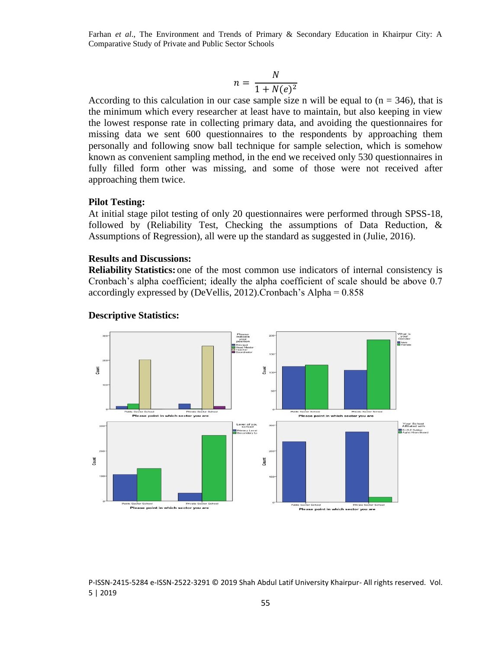$$
n = \frac{N}{1 + N(e)^2}
$$

According to this calculation in our case sample size n will be equal to  $(n = 346)$ , that is the minimum which every researcher at least have to maintain, but also keeping in view the lowest response rate in collecting primary data, and avoiding the questionnaires for missing data we sent 600 questionnaires to the respondents by approaching them personally and following snow ball technique for sample selection, which is somehow known as convenient sampling method, in the end we received only 530 questionnaires in fully filled form other was missing, and some of those were not received after approaching them twice.

#### **Pilot Testing:**

At initial stage pilot testing of only 20 questionnaires were performed through SPSS-18, followed by (Reliability Test, Checking the assumptions of Data Reduction, & Assumptions of Regression), all were up the standard as suggested in (Julie, 2016).

#### **Results and Discussions:**

**Reliability Statistics:** one of the most common use indicators of internal consistency is Cronbach's alpha coefficient; ideally the alpha coefficient of scale should be above 0.7 accordingly expressed by (DeVellis, 2012).Cronbach's Alpha = 0.858



#### **Descriptive Statistics:**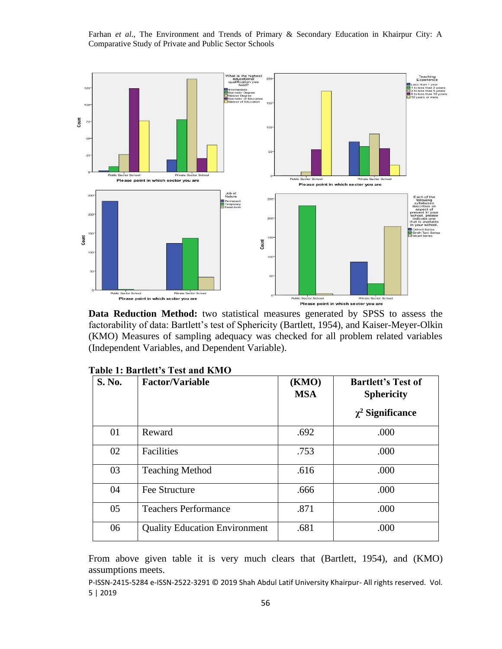

**Data Reduction Method:** two statistical measures generated by SPSS to assess the factorability of data: Bartlett's test of Sphericity (Bartlett, 1954), and Kaiser-Meyer-Olkin (KMO) Measures of sampling adequacy was checked for all problem related variables (Independent Variables, and Dependent Variable).

| <b>S. No.</b> | <b>Factor/Variable</b>               | (KMO)<br><b>MSA</b> | <b>Bartlett's Test of</b><br><b>Sphericity</b> |
|---------------|--------------------------------------|---------------------|------------------------------------------------|
|               |                                      |                     | $\chi^2$ Significance                          |
| 01            | Reward                               | .692                | .000                                           |
| 02            | Facilities                           | .753                | .000                                           |
| 03            | <b>Teaching Method</b>               | .616                | .000                                           |
| 04            | Fee Structure                        | .666                | .000                                           |
| 05            | <b>Teachers Performance</b>          | .871                | .000                                           |
| 06            | <b>Quality Education Environment</b> | .681                | .000                                           |

|  | Table 1: Bartlett's Test and KMO |  |  |
|--|----------------------------------|--|--|
|--|----------------------------------|--|--|

From above given table it is very much clears that (Bartlett, 1954), and (KMO) assumptions meets.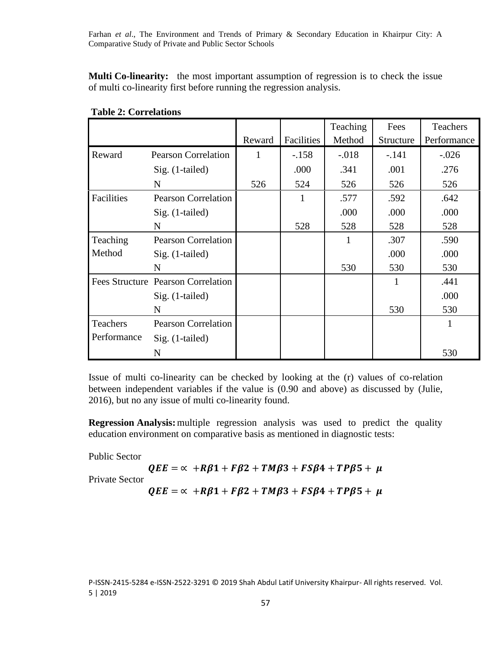**Multi Co-linearity:** the most important assumption of regression is to check the issue of multi co-linearity first before running the regression analysis.

|             |                                    |              |            | Teaching | Fees      | Teachers    |
|-------------|------------------------------------|--------------|------------|----------|-----------|-------------|
|             |                                    | Reward       | Facilities | Method   | Structure | Performance |
| Reward      | <b>Pearson Correlation</b>         | $\mathbf{1}$ | $-.158$    | $-.018$  | $-.141$   | $-.026$     |
|             | $Sig. (1-tailed)$                  |              | .000       | .341     | .001      | .276        |
|             | N                                  | 526          | 524        | 526      | 526       | 526         |
| Facilities  | <b>Pearson Correlation</b>         |              |            | .577     | .592      | .642        |
|             | $Sig.$ (1-tailed)                  |              |            | .000     | .000      | .000        |
|             | N                                  |              | 528        | 528      | 528       | 528         |
| Teaching    | <b>Pearson Correlation</b>         |              |            | 1        | .307      | .590        |
| Method      | $Sig.$ (1-tailed)                  |              |            |          | .000      | .000        |
|             | N                                  |              |            | 530      | 530       | 530         |
|             | Fees Structure Pearson Correlation |              |            |          |           | .441        |
|             | $Sig.$ (1-tailed)                  |              |            |          |           | .000        |
|             | N                                  |              |            |          | 530       | 530         |
| Teachers    | <b>Pearson Correlation</b>         |              |            |          |           |             |
| Performance | $Sig.$ (1-tailed)                  |              |            |          |           |             |
|             | N                                  |              |            |          |           | 530         |

Issue of multi co-linearity can be checked by looking at the (r) values of co-relation between independent variables if the value is (0.90 and above) as discussed by (Julie, 2016), but no any issue of multi co-linearity found.

**Regression Analysis:**multiple regression analysis was used to predict the quality education environment on comparative basis as mentioned in diagnostic tests:

Public Sector

$$
QEE = \alpha + R\beta1 + F\beta2 + TM\beta3 + FS\beta4 + TP\beta5 + \mu
$$

Private Sector

 $QEE = \alpha + R\beta1 + F\beta2 + TMR3 + FS\beta4 + TP\beta5 + \mu$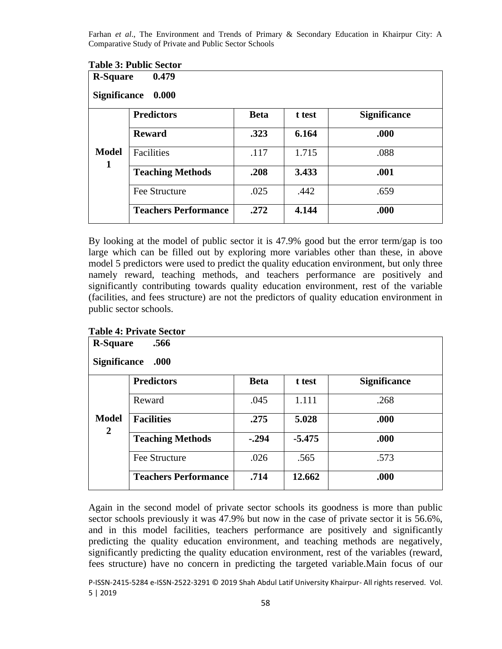|                                                          | <b>Table 3: Public Sector</b> |             |        |                     |  |  |
|----------------------------------------------------------|-------------------------------|-------------|--------|---------------------|--|--|
| 0.479<br><b>R-Square</b><br><b>Significance</b><br>0.000 |                               |             |        |                     |  |  |
|                                                          | <b>Predictors</b>             | <b>Beta</b> | t test | <b>Significance</b> |  |  |
|                                                          | <b>Reward</b>                 | .323        | 6.164  | .000                |  |  |
| <b>Model</b><br>1                                        | Facilities                    | .117        | 1.715  | .088                |  |  |
|                                                          | <b>Teaching Methods</b>       | .208        | 3.433  | .001                |  |  |
|                                                          | Fee Structure                 | .025        | .442   | .659                |  |  |
|                                                          | <b>Teachers Performance</b>   | .272        | 4.144  | .000                |  |  |

By looking at the model of public sector it is 47.9% good but the error term/gap is too large which can be filled out by exploring more variables other than these, in above model 5 predictors were used to predict the quality education environment, but only three namely reward, teaching methods, and teachers performance are positively and significantly contributing towards quality education environment, rest of the variable (facilities, and fees structure) are not the predictors of quality education environment in public sector schools.

| <b>R-Square</b><br>.566        |                             |             |          |                     |  |  |
|--------------------------------|-----------------------------|-------------|----------|---------------------|--|--|
| <b>Significance</b><br>.000    |                             |             |          |                     |  |  |
|                                | <b>Predictors</b>           | <b>Beta</b> | t test   | <b>Significance</b> |  |  |
| <b>Model</b><br>$\overline{2}$ | Reward                      | .045        | 1.111    | .268                |  |  |
|                                | <b>Facilities</b>           | .275        | 5.028    | .000                |  |  |
|                                | <b>Teaching Methods</b>     | $-.294$     | $-5.475$ | .000                |  |  |
|                                | Fee Structure               | .026        | .565     | .573                |  |  |
|                                | <b>Teachers Performance</b> | .714        | 12.662   | .000                |  |  |

### **Table 4: Private Sector**

Again in the second model of private sector schools its goodness is more than public sector schools previously it was 47.9% but now in the case of private sector it is 56.6%, and in this model facilities, teachers performance are positively and significantly predicting the quality education environment, and teaching methods are negatively, significantly predicting the quality education environment, rest of the variables (reward, fees structure) have no concern in predicting the targeted variable.Main focus of our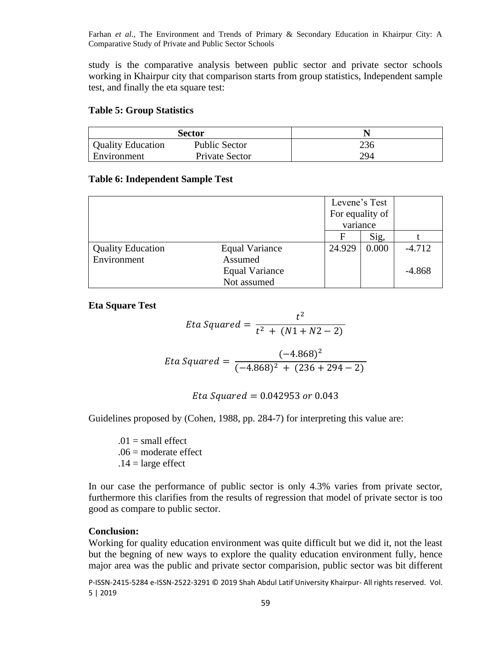study is the comparative analysis between public sector and private sector schools working in Khairpur city that comparison starts from group statistics, Independent sample test, and finally the eta square test:

#### **Table 5: Group Statistics**

| <b>Sector</b>            |                      |     |
|--------------------------|----------------------|-----|
| <b>Quality Education</b> | <b>Public Sector</b> | 236 |
| Environment              | Private Sector       | 294 |

### **Table 6: Independent Sample Test**

|                          |                       | Levene's Test<br>For equality of |       |          |
|--------------------------|-----------------------|----------------------------------|-------|----------|
|                          |                       | variance                         |       |          |
|                          |                       | F                                | Sig,  |          |
| <b>Quality Education</b> | <b>Equal Variance</b> | 24.929                           | 0.000 | $-4.712$ |
| Environment              | Assumed               |                                  |       |          |
|                          | <b>Equal Variance</b> |                                  |       | $-4.868$ |
|                          | Not assumed           |                                  |       |          |

**Eta Square Test**

*Eta Squared* = 
$$
\frac{t^2}{t^2 + (N1 + N2 - 2)}
$$

$$
Et a Squared = \frac{(-4.868)^2}{(-4.868)^2 + (236 + 294 - 2)}
$$

Eta Squared =  $0.042953$  or  $0.043$ 

Guidelines proposed by (Cohen, 1988, pp. 284-7) for interpreting this value are:

 $.01$  = small effect  $.06$  = moderate effect  $.14 = \text{large effect}$ 

In our case the performance of public sector is only 4.3% varies from private sector, furthermore this clarifies from the results of regression that model of private sector is too good as compare to public sector.

# **Conclusion:**

Working for quality education environment was quite difficult but we did it, not the least but the begning of new ways to explore the quality education environment fully, hence major area was the public and private sector comparision, public sector was bit different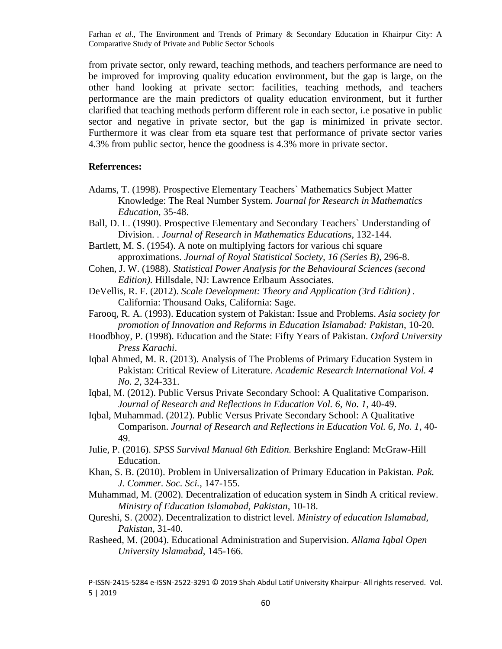from private sector, only reward, teaching methods, and teachers performance are need to be improved for improving quality education environment, but the gap is large, on the other hand looking at private sector: facilities, teaching methods, and teachers performance are the main predictors of quality education environment, but it further clarified that teaching methods perform different role in each sector, i.e posative in public sector and negative in private sector, but the gap is minimized in private sector. Furthermore it was clear from eta square test that performance of private sector varies 4.3% from public sector, hence the goodness is 4.3% more in private sector.

#### **Referrences:**

- Adams, T. (1998). Prospective Elementary Teachers` Mathematics Subject Matter Knowledge: The Real Number System. *Journal for Research in Mathematics Education*, 35-48.
- Ball, D. L. (1990). Prospective Elementary and Secondary Teachers` Understanding of Division. . *Journal of Research in Mathematics Educations*, 132-144.
- Bartlett, M. S. (1954). A note on multiplying factors for various chi square approximations. *Journal of Royal Statistical Society, 16 (Series B)*, 296-8.
- Cohen, J. W. (1988). *Statistical Power Analysis for the Behavioural Sciences (second Edition).* Hillsdale, NJ: Lawrence Erlbaum Associates.
- DeVellis, R. F. (2012). *Scale Development: Theory and Application (3rd Edition) .* California: Thousand Oaks, California: Sage.
- Farooq, R. A. (1993). Education system of Pakistan: Issue and Problems. *Asia society for promotion of Innovation and Reforms in Education Islamabad: Pakistan*, 10-20.
- Hoodbhoy, P. (1998). Education and the State: Fifty Years of Pakistan. *Oxford University Press Karachi*.
- Iqbal Ahmed, M. R. (2013). Analysis of The Problems of Primary Education System in Pakistan: Critical Review of Literature. *Academic Research International Vol. 4 No. 2*, 324-331.
- Iqbal, M. (2012). Public Versus Private Secondary School: A Qualitative Comparison. *Journal of Research and Reflections in Education Vol. 6, No. 1*, 40-49.
- Iqbal, Muhammad. (2012). Public Versus Private Secondary School: A Qualitative Comparison. *Journal of Research and Reflections in Education Vol. 6, No. 1*, 40- 49.
- Julie, P. (2016). *SPSS Survival Manual 6th Edition.* Berkshire England: McGraw-Hill Education.
- Khan, S. B. (2010). Problem in Universalization of Primary Education in Pakistan. *Pak. J. Commer. Soc. Sci.*, 147-155.
- Muhammad, M. (2002). Decentralization of education system in Sindh A critical review. *Ministry of Education Islamabad, Pakistan*, 10-18.
- Qureshi, S. (2002). Decentralization to district level. *Ministry of education Islamabad, Pakistan*, 31-40.
- Rasheed, M. (2004). Educational Administration and Supervision. *Allama Iqbal Open University Islamabad*, 145-166.

P-ISSN-2415-5284 e-ISSN-2522-3291 © 2019 Shah Abdul Latif University Khairpur- All rights reserved. Vol. 5 | 2019